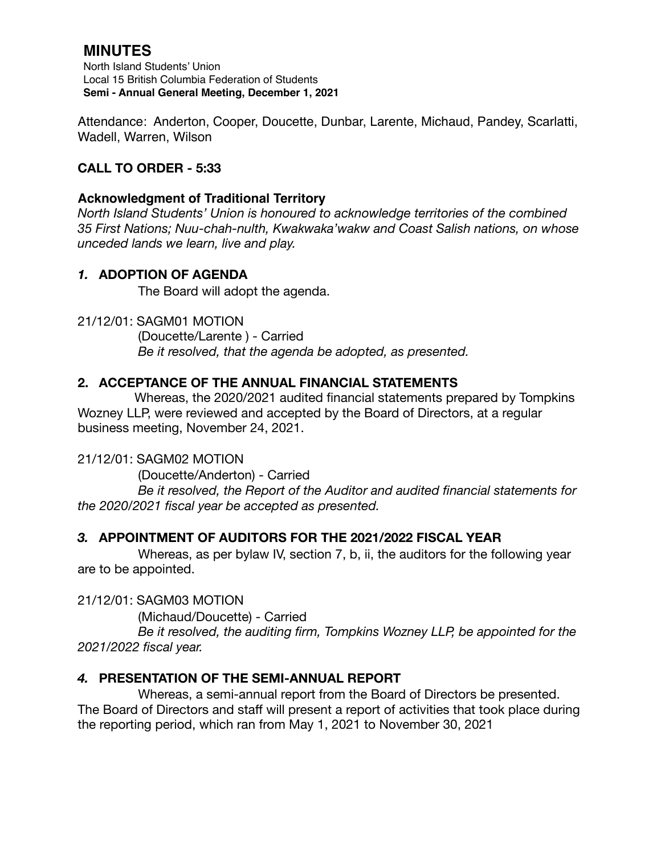# **MINUTES**

North Island Students' Union Local 15 British Columbia Federation of Students **Semi - Annual General Meeting, December 1, 2021**

Attendance: Anderton, Cooper, Doucette, Dunbar, Larente, Michaud, Pandey, Scarlatti, Wadell, Warren, Wilson

## **CALL TO ORDER - 5:33**

#### **Acknowledgment of Traditional Territory**

*North Island Students' Union is honoured to acknowledge territories of the combined 35 First Nations; Nuu-chah-nulth, Kwakwaka'wakw and Coast Salish nations, on whose unceded lands we learn, live and play.*

#### *1.* **ADOPTION OF AGENDA**

The Board will adopt the agenda.

21/12/01: SAGM01 MOTION

 (Doucette/Larente ) - Carried *Be it resolved, that the agenda be adopted, as presented.* 

#### **2. ACCEPTANCE OF THE ANNUAL FINANCIAL STATEMENTS**

 Whereas, the 2020/2021 audited financial statements prepared by Tompkins Wozney LLP, were reviewed and accepted by the Board of Directors, at a regular business meeting, November 24, 2021.

#### 21/12/01: SAGM02 MOTION

(Doucette/Anderton) - Carried *Be it resolved, the Report of the Auditor and audited financial statements for the 2020/2021 fiscal year be accepted as presented.* 

## *3.* **APPOINTMENT OF AUDITORS FOR THE 2021/2022 FISCAL YEAR**

Whereas, as per bylaw IV, section 7, b, ii, the auditors for the following year are to be appointed.

21/12/01: SAGM03 MOTION

(Michaud/Doucette) - Carried

 *Be it resolved, the auditing firm, Tompkins Wozney LLP, be appointed for the 2021/2022 fiscal year.* 

## *4.* **PRESENTATION OF THE SEMI-ANNUAL REPORT**

Whereas, a semi-annual report from the Board of Directors be presented. The Board of Directors and staff will present a report of activities that took place during the reporting period, which ran from May 1, 2021 to November 30, 2021